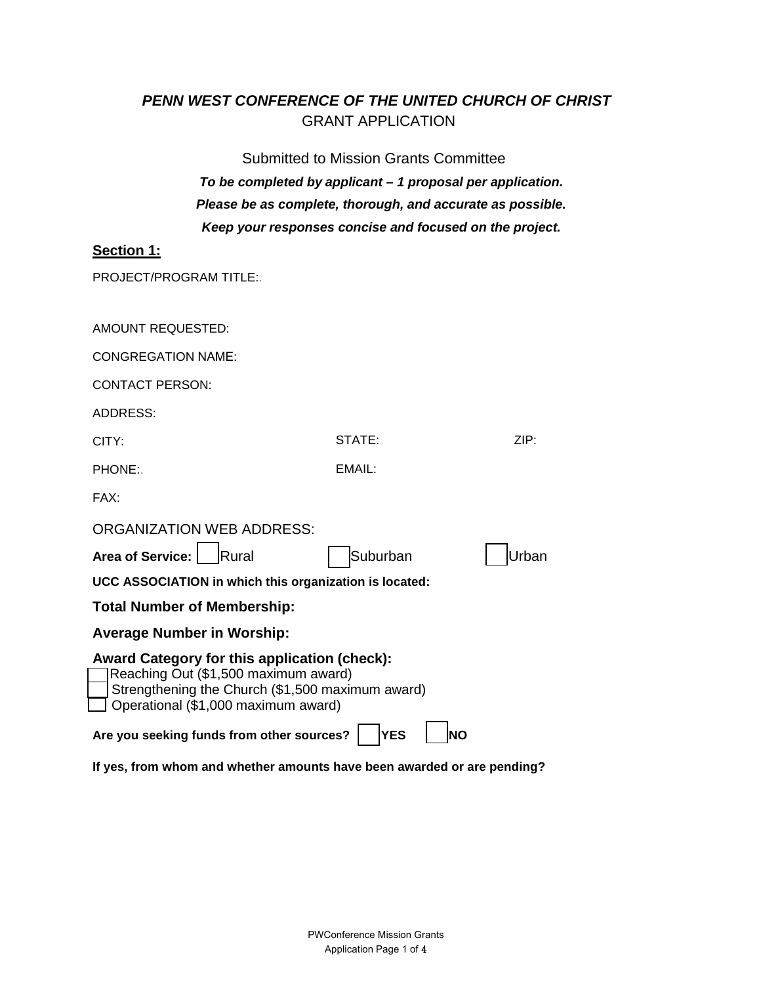# *PENN WEST CONFERENCE OF THE UNITED CHURCH OF CHRIST* GRANT APPLICATION

Submitted to Mission Grants Committee *To be completed by applicant – 1 proposal per application. Please be as complete, thorough, and accurate as possible. Keep your responses concise and focused on the project.* 

# **Section 1:**

PROJECT/PROGRAM TITLE:.

| AMOUNT REQUESTED:                                                                                                                                                                      |                         |       |
|----------------------------------------------------------------------------------------------------------------------------------------------------------------------------------------|-------------------------|-------|
| CONGREGATION NAME:                                                                                                                                                                     |                         |       |
| <b>CONTACT PERSON:</b>                                                                                                                                                                 |                         |       |
| ADDRESS:                                                                                                                                                                               |                         |       |
| CITY:                                                                                                                                                                                  | STATE:                  | ZIP:  |
| PHONE:.                                                                                                                                                                                | EMAIL:                  |       |
| FAX:                                                                                                                                                                                   |                         |       |
| <b>ORGANIZATION WEB ADDRESS:</b>                                                                                                                                                       |                         |       |
| Area of Service:<br><b>Rural</b>                                                                                                                                                       | Suburban                | Urban |
| UCC ASSOCIATION in which this organization is located:                                                                                                                                 |                         |       |
| <b>Total Number of Membership:</b>                                                                                                                                                     |                         |       |
| <b>Average Number in Worship:</b>                                                                                                                                                      |                         |       |
| <b>Award Category for this application (check):</b><br>Reaching Out (\$1,500 maximum award)<br>Strengthening the Church (\$1,500 maximum award)<br>Operational (\$1,000 maximum award) |                         |       |
| Are you seeking funds from other sources?                                                                                                                                              | <b>YES</b><br><b>NO</b> |       |

**If yes, from whom and whether amounts have been awarded or are pending?**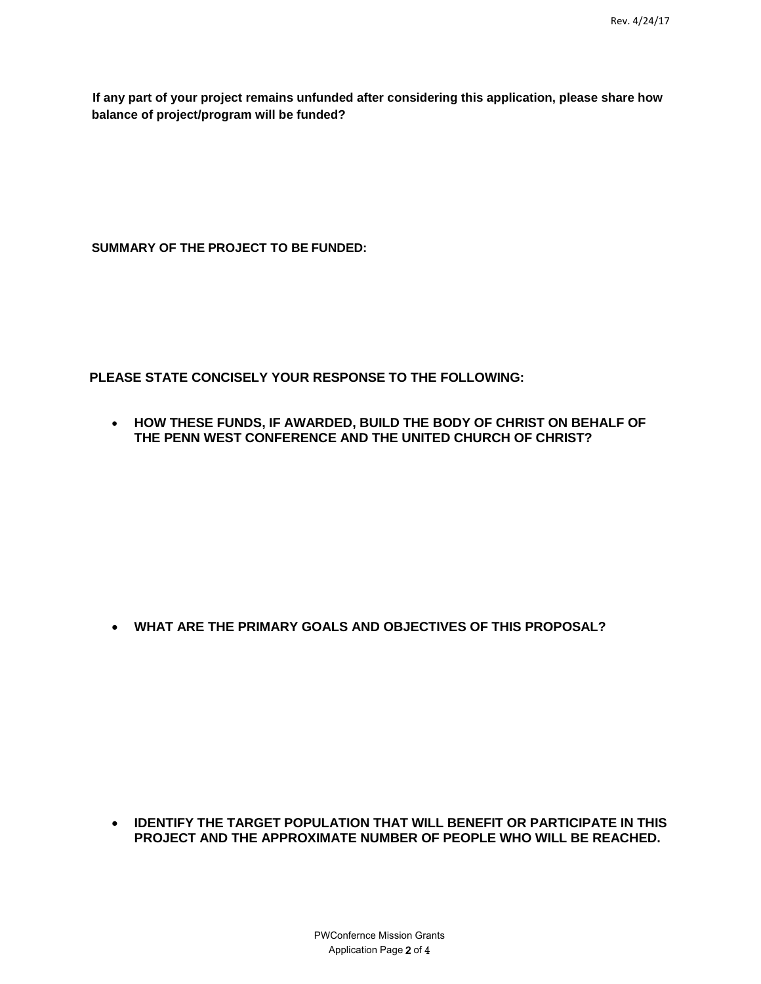**If any part of your project remains unfunded after considering this application, please share how balance of project/program will be funded?** 

**SUMMARY OF THE PROJECT TO BE FUNDED:**

**PLEASE STATE CONCISELY YOUR RESPONSE TO THE FOLLOWING:**

• **HOW THESE FUNDS, IF AWARDED, BUILD THE BODY OF CHRIST ON BEHALF OF THE PENN WEST CONFERENCE AND THE UNITED CHURCH OF CHRIST?**

• **WHAT ARE THE PRIMARY GOALS AND OBJECTIVES OF THIS PROPOSAL?**

• **IDENTIFY THE TARGET POPULATION THAT WILL BENEFIT OR PARTICIPATE IN THIS PROJECT AND THE APPROXIMATE NUMBER OF PEOPLE WHO WILL BE REACHED.**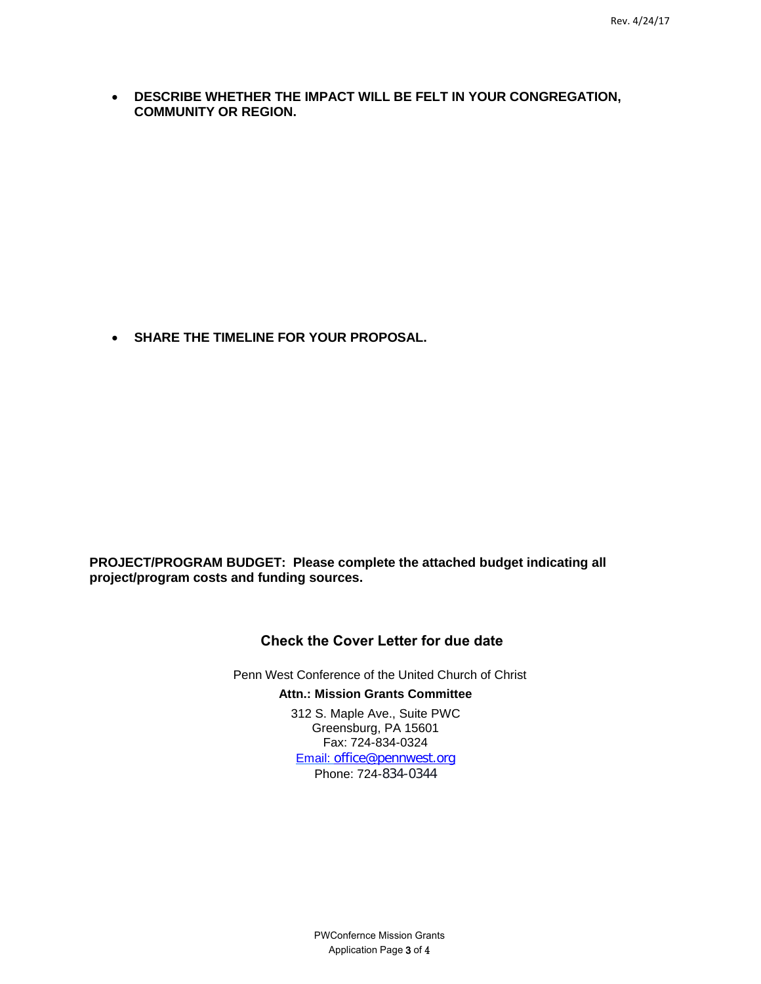• **DESCRIBE WHETHER THE IMPACT WILL BE FELT IN YOUR CONGREGATION, COMMUNITY OR REGION.**

• **SHARE THE TIMELINE FOR YOUR PROPOSAL.**

**PROJECT/PROGRAM BUDGET: Please complete the attached budget indicating all project/program costs and funding sources.** 

## **Check the Cover Letter for due date**

Penn West Conference of the United Church of Christ

#### **Attn.: Mission Grants Committee**

312 S. Maple Ave., Suite PWC Greensburg, PA 15601 Fax: 724-834-0324 Email: [office@pennwest.org](mailto:office@pennwest.org) Phone: 724-834-0344

> PWConfernce Mission Grants Application Page 3 of 4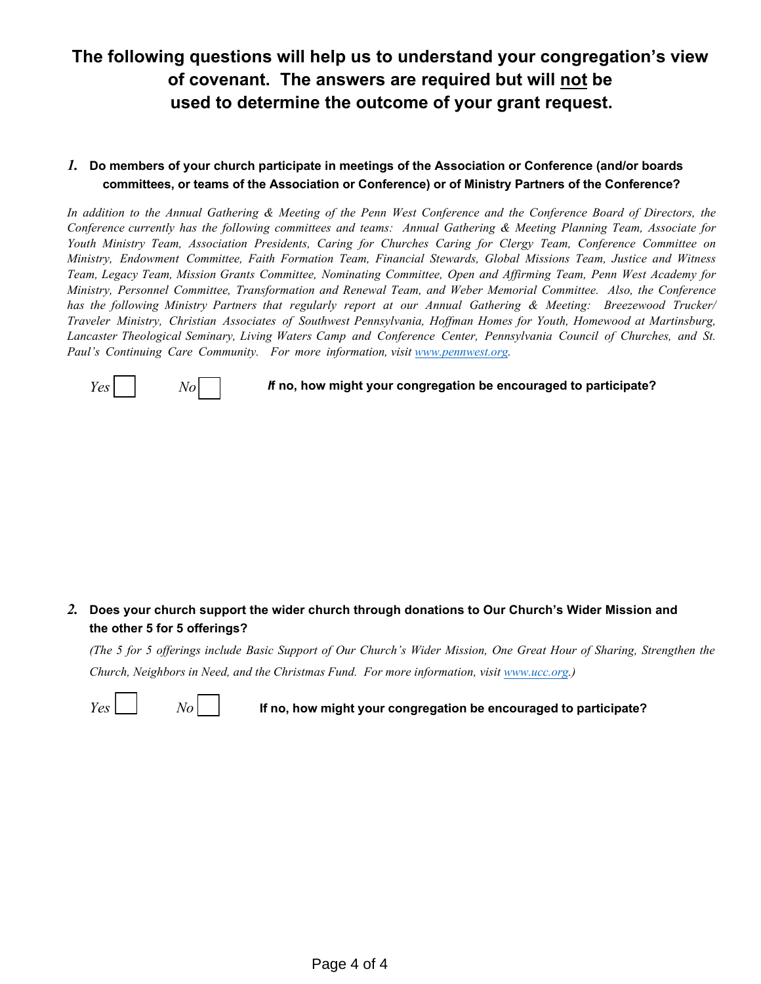# **The following questions will help us to understand your congregation's view of covenant. The answers are required but will not be used to determine the outcome of your grant request.**

## *1.* **Do members of your church participate in meetings of the Association or Conference (and/or boards committees, or teams of the Association or Conference) or of Ministry Partners of the Conference?**

In addition to the Annual Gathering & Meeting of the Penn West Conference and the Conference Board of Directors, the Conference currently has the following committees and teams: Annual Gathering & Meeting Planning Team, Associate for *Youth Ministry Team, Association Presidents, Caring for Churches Caring for Clergy Team, Conference Committee on Ministry, Endowment Committee, Faith Formation Team, Financial Stewards, Global Missions Team, Justice and Witness Team, Legacy Team, Mission Grants Committee, Nominating Committee, Open and Affirming Team, Penn West Academy for Ministry, Personnel Committee, Transformation and Renewal Team, and Weber Memorial Committee. Also, the Conference has the following Ministry Partners that regularly report at our Annual Gathering & Meeting: Breezewood Trucker/ Traveler Ministry, Christian Associates of Southwest Pennsylvania, Hoffman Homes for Youth, Homewood at Martinsburg, Lancaster Theological Seminary, Living Waters Camp and Conference Center, Pennsylvania Council of Churches, and St. Paul's Continuing Care Community. For more information, visi[t www.pennwest.org.](http://www.pennwest.org/)* 



 $Yes$   $|$   $|$   $No$   $|$   $|$  *If* no, how might your congregation be encouraged to participate?

## *2.* **Does your church support the wider church through donations to Our Church's Wider Mission and the other 5 for 5 offerings?**

(The 5 for 5 offerings include Basic Support of Our Church's Wider Mission, One Great Hour of Sharing, Strengthen the *Church, Neighbors in Need, and the Christmas Fund. For more information, visit [www.ucc.org.](http://www.ucc.org/))*

 $Y_{\text{eS}}$   $\Box$   $\Box$   $\Box$   $\Box$   $\Box$   $\Box$  If no, how might your congregation be encouraged to participate?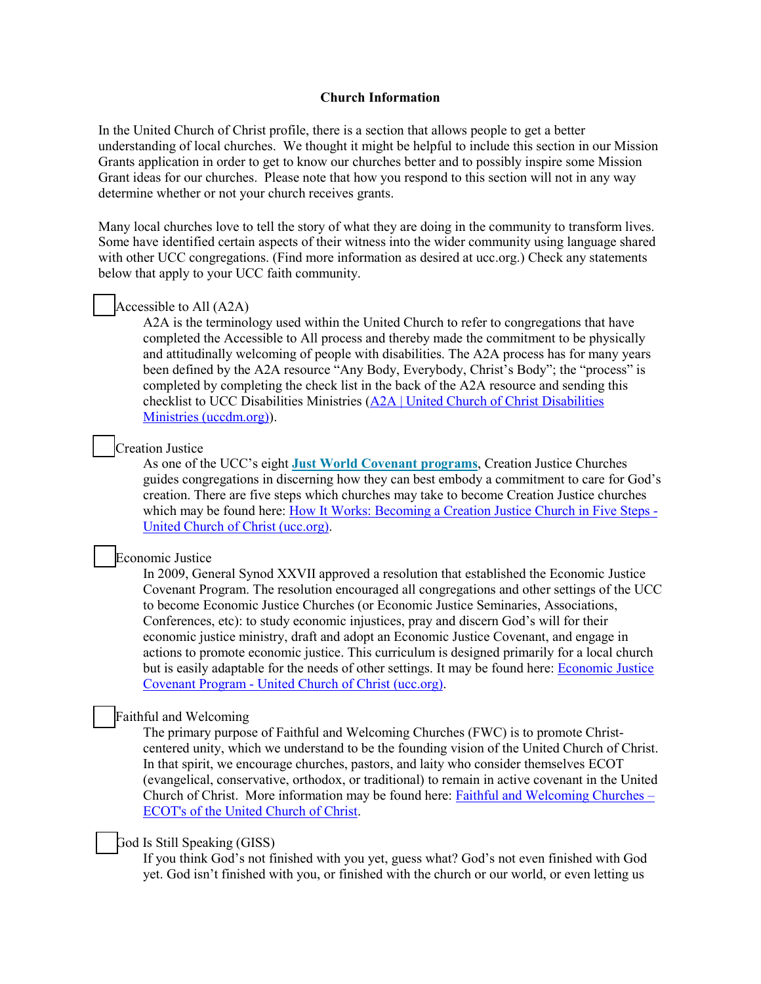#### **Church Information**

In the United Church of Christ profile, there is a section that allows people to get a better understanding of local churches. We thought it might be helpful to include this section in our Mission Grants application in order to get to know our churches better and to possibly inspire some Mission Grant ideas for our churches. Please note that how you respond to this section will not in any way determine whether or not your church receives grants.

Many local churches love to tell the story of what they are doing in the community to transform lives. Some have identified certain aspects of their witness into the wider community using language shared with other UCC congregations. (Find more information as desired at ucc.org.) Check any statements below that apply to your UCC faith community.

## Accessible to All (A2A)

A2A is the terminology used within the United Church to refer to congregations that have completed the Accessible to All process and thereby made the commitment to be physically and attitudinally welcoming of people with disabilities. The A2A process has for many years been defined by the A2A resource "Any Body, Everybody, Christ's Body"; the "process" is completed by completing the check list in the back of the A2A resource and sending this checklist to UCC Disabilities Ministries [\(A2A | United Church of Christ Disabilities](http://uccdm.org/a2a/)  [Ministries \(uccdm.org\)\)](http://uccdm.org/a2a/).

#### Creation Justice

As one of the UCC's eight **[Just World Covenant programs](https://www.ucc.org/just_world_covenants/)**, Creation Justice Churches guides congregations in discerning how they can best embody a commitment to care for God's creation. There are five steps which churches may take to become Creation Justice churches which may be found here: [How It Works: Becoming a Creation Justice Church in Five Steps -](https://www.ucc.org/what-we-do/justice-local-church-ministries/justice/faithful-action-ministries/environmental-justice/creation-justice-churches/how_it_works_becoming_a_creation_justice_church/) [United Church of Christ \(ucc.org\).](https://www.ucc.org/what-we-do/justice-local-church-ministries/justice/faithful-action-ministries/environmental-justice/creation-justice-churches/how_it_works_becoming_a_creation_justice_church/)

#### Economic Justice

In 2009, General Synod XXVII approved a resolution that established the Economic Justice Covenant Program. The resolution encouraged all congregations and other settings of the UCC to become Economic Justice Churches (or Economic Justice Seminaries, Associations, Conferences, etc): to study economic injustices, pray and discern God's will for their economic justice ministry, draft and adopt an Economic Justice Covenant, and engage in actions to promote economic justice. This curriculum is designed primarily for a local church but is easily adaptable for the needs of other settings. It may be found here: [Economic Justice](https://www.ucc.org/what-we-do/justice-local-church-ministries/justice/washington-dc-office/washington-dc/justice_ejcp_ef/)  Covenant Program - [United Church of Christ \(ucc.org\).](https://www.ucc.org/what-we-do/justice-local-church-ministries/justice/washington-dc-office/washington-dc/justice_ejcp_ef/)

### Faithful and Welcoming

The primary purpose of Faithful and Welcoming Churches (FWC) is to promote Christcentered unity, which we understand to be the founding vision of the United Church of Christ. In that spirit, we encourage churches, pastors, and laity who consider themselves ECOT (evangelical, conservative, orthodox, or traditional) to remain in active covenant in the United Church of Christ. More information may be found here: [Faithful and Welcoming Churches –](http://www.faithfulandwelcoming.org/) [ECOT's of the United Church of Christ.](http://www.faithfulandwelcoming.org/)

#### \_\_ God Is Still Speaking (GISS)

If you think God's not finished with you yet, guess what? God's not even finished with God yet. God isn't finished with you, or finished with the church or our world, or even letting us